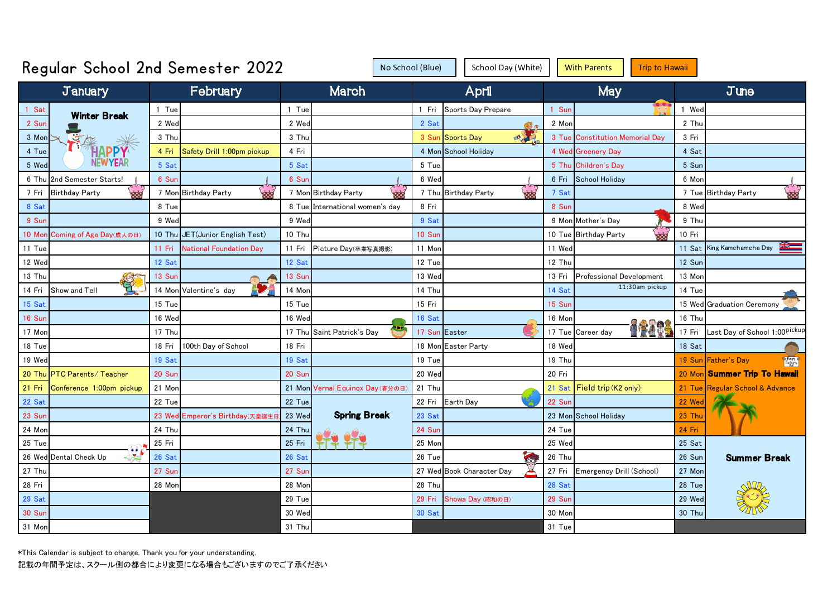| Regular School 2nd Semester 2022     | School Day (White) |                                 | <b>With Parents</b><br><b>Trip to Hawaii</b> |                                    |               |                                     |        |                                  |        |                                       |
|--------------------------------------|--------------------|---------------------------------|----------------------------------------------|------------------------------------|---------------|-------------------------------------|--------|----------------------------------|--------|---------------------------------------|
| January                              |                    | February                        |                                              | March                              |               | April                               |        | <b>May</b>                       |        | $J$ une                               |
| 1 Sat<br><b>Winter Break</b>         | 1 Tue              |                                 | 1 Tue                                        |                                    | 1 Fri         | Sports Day Prepare                  | 1 Sun  |                                  | 1 Wed  |                                       |
| 2 Sur                                | 2 Wed              |                                 | 2 Wed                                        |                                    | 2 Sat         | 63                                  | 2 Mon  |                                  | 2 Thu  |                                       |
| 3 Mon                                | 3 Thu              |                                 | 3 Thu                                        |                                    | 3 Sun         | $\alpha$<br><b>Sports Day</b>       | 3 Tue  | <b>Constitution Memorial Dav</b> | 3 Fri  |                                       |
| <b>HAPPY</b><br>4 Tue                | 4 Fri              | Safety Drill 1:00pm pickup      | 4 Fri                                        |                                    |               | 4 Mon School Holiday                |        | 4 Wed Greenery Day               | 4 Sat  |                                       |
| 5 Wec                                | 5 Sat              |                                 | 5 Sat                                        |                                    | 5 Tue         |                                     | 5 Thu  | <b>Children's Day</b>            | 5 Sun  |                                       |
| 2nd Semester Starts!<br>6 Thu        | 6 Sur              |                                 | 6 Sur                                        |                                    | 6 Wed         |                                     | 6 Fri  | <b>School Holiday</b>            | 6 Mor  |                                       |
| ಹರ<br><b>Birthday Party</b><br>7 Fri |                    | 7 Mon Birthday Party<br>œ       |                                              | <b>xxx</b><br>7 Mon Birthday Party |               | 7 Thu Birthday Party<br><b>ROOM</b> | 7 Sat  |                                  |        | မ္ဘာ့<br>7 Tue Birthday Party         |
| 8 Sat                                | 8 Tue              |                                 |                                              | 8 Tue International women's day    | 8 Fri         |                                     | 8 Sun  |                                  | 8 Wed  |                                       |
| 9 Sur                                | 9 Wed              |                                 | 9 Wed                                        |                                    | 9 Sat         |                                     |        | 9 Mon Mother's Day               | 9 Thu  |                                       |
| 10 Mor<br>Coming of Age Day(成人の日)    |                    | 10 Thu JET(Junior English Test) | 10 Thu                                       |                                    | 10 Sur        |                                     |        | 10 Tue Birthday Party<br>ààď     | 10 Fri |                                       |
| 11 Tue                               | 11 Fri             | <b>National Foundation Dav</b>  | 11 Fri                                       | Picture Day(卒業写真撮影)                | 11 Mor        |                                     | 11 Wed |                                  | 11 Sat | King Kamehameha Day                   |
| 12 Wed                               | 12 Sat             |                                 | 12 Sat                                       |                                    | 12 Tue        |                                     | 12 Thu |                                  | 12 Sun |                                       |
| 13 Thu                               | 13 Sur             |                                 | 13 Sur                                       |                                    | 13 Wed        |                                     | 13 Fri | Professional Development         | 13 Mor |                                       |
| OTHER<br>Show and Tell<br>14 Fri     | 14 Mon             | Valentine's day                 | 14 Mor                                       |                                    | 14 Thu        |                                     | 14 Sat | 11:30am pickup                   | 14 Tue |                                       |
| 15 Sat                               | 15 Tue             |                                 | 15 Tue                                       |                                    | 15 Fri        |                                     | 15 Sur |                                  |        | 15 Wed Graduation Ceremony            |
| 16 Sur                               | 16 Wed             |                                 | 16 Wed                                       |                                    | 16 Sat        |                                     | 16 Mon |                                  | 16 Thu |                                       |
| 17 Mor                               | 17 Thu             |                                 | 17 Thu                                       | Saint Patrick's Day                | 17 Sun Easter |                                     | 17 Tue | <b>ARR</b><br>Career day         | 17 Fri | Last Day of School 1:00Pickup         |
| 18 Tue                               | 18 Fri             | 100th Day of School             | 18 Fri                                       |                                    |               | 18 Mon Easter Party                 | 18 Wed |                                  | 18 Sat |                                       |
| 19 Wec                               | 19 Sat             |                                 | 19 Sat                                       |                                    | 19 Tue        |                                     | 19 Thu |                                  |        | 19 Sun Father's Day<br><b>E</b> Happy |
| 20 Thu PTC Parents/ Teacher          | 20 Sur             |                                 | 20 Sur                                       |                                    | 20 Wed        |                                     | 20 Fri |                                  |        | 20 Mon Summer Trip To Hawaii          |
| 21 Fri<br>Conference 1:00pm pickup   | 21 Mor             |                                 |                                              | 21 Mon Vernal Equinox Day (春分の日)   | 21 Thu        |                                     | 21 Sat | Field trip (K2 only)             |        | 21 Tue Regular School & Advance       |
| 22 Sat                               | 22 Tue             |                                 | 22 Tue                                       |                                    | 22 Fri        | Earth Day                           | 22 Sur |                                  | 22 Wec |                                       |
| 23 Sur                               | 23 Wed             | Emperor's Birthday(天皇誕生         | 23 Wed                                       | <b>Spring Break</b>                | 23 Sat        |                                     |        | 23 Mon School Holiday            | 23 Thu |                                       |
| 24 Mor                               | 24 Thu             |                                 | 24 Thu                                       |                                    | 24 Sur        |                                     | 24 Tue |                                  | 24 Fri |                                       |
| 25 Tue                               | 25 Fri             |                                 | 25 Fri                                       |                                    | 25 Mor        |                                     | 25 Wed |                                  | 25 Sat |                                       |
| 26 Wed Dental Check Up               | 26 Sat             |                                 | 26 Sat                                       |                                    | $26$ Tue      | 33                                  | 26 Thu |                                  | 26 Sun | <b>Summer Break</b>                   |
| 27 Thu                               | 27 Sur             |                                 | 27 Sur                                       |                                    |               | 27 Wed Book Character Day           | 27 Fri | Emergency Drill (School)         | 27 Mor |                                       |
| 28 Fri                               | 28 Mon             |                                 | 28 Mor                                       |                                    | 28 Thu        |                                     | 28 Sat |                                  | 28 Tue |                                       |
| 29 Sat                               |                    |                                 | 29 Tue                                       |                                    | 29 Fri        | Showa Day (昭和の日)                    | 29 Sur |                                  | 29 Wed |                                       |
| <b>30 Sur</b>                        |                    |                                 | 30 Wed                                       |                                    | 30 Sat        |                                     | 30 Mor |                                  | 30 Thu |                                       |
| 31 Mon                               |                    |                                 | 31 Thu                                       |                                    |               |                                     | 31 Tue |                                  |        |                                       |

\*This Calendar is subject to change. Thank you for your understanding.

記載の年間予定は、スクール側の都合により変更になる場合もございますのでご了承ください